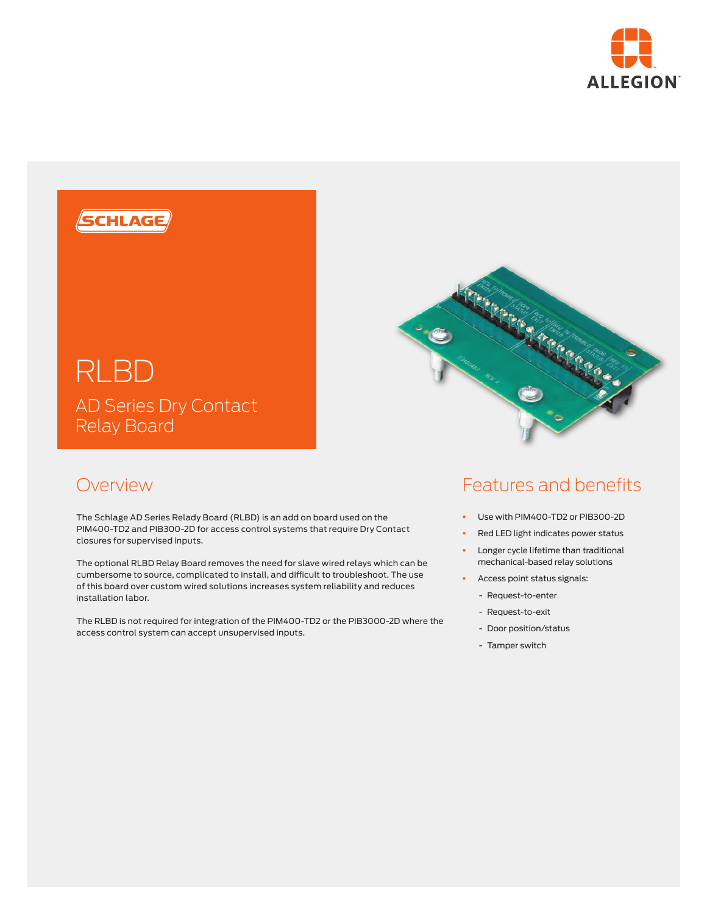



## Overview

The Schlage AD Series Relady Board (RLBD) is an add on board used on the PIM400-TD2 and PIB300-2D for access control systems that require Dry Contact closures for supervised inputs.

The optional RLBD Relay Board removes the need for slave wired relays which can be cumbersome to source, complicated to install, and difficult to troubleshoot. The use of this board over custom wired solutions increases system reliability and reduces installation labor.

The RLBD is not required for integration of the PIM400-TD2 or the PIB3000-2D where the access control system can accept unsupervised inputs.

## Features and benefits

- § Use with PIM400-TD2 or PIB300-2D
- Red LED light indicates power status
- **•** Longer cycle lifetime than traditional mechanical-based relay solutions
- **•** Access point status signals:
	- Request-to-enter
	- Request-to-exit
	- Door position/status
	- Tamper switch